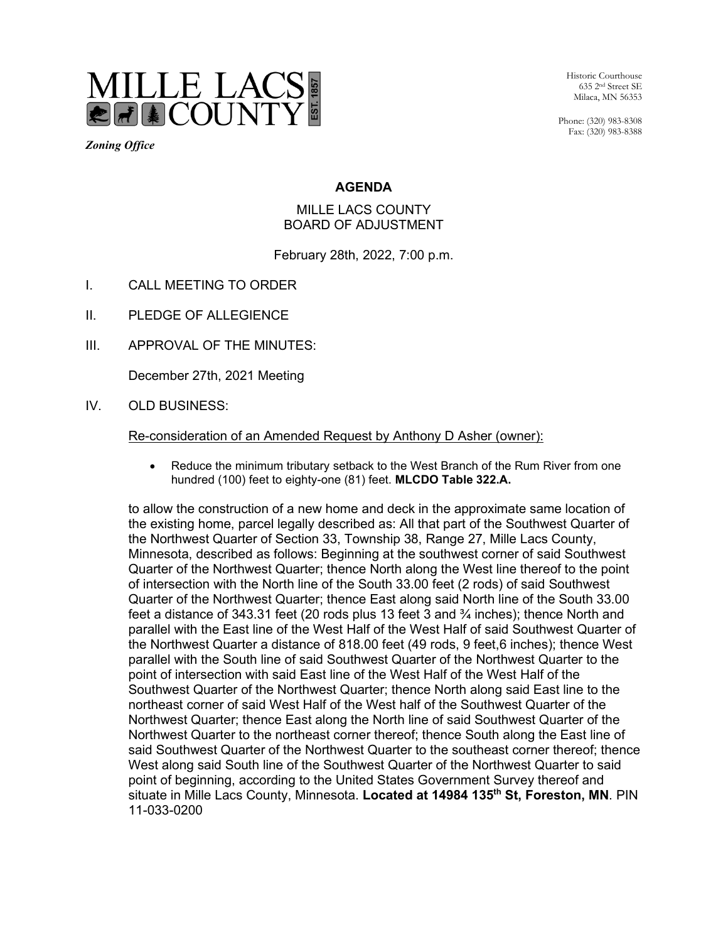

*Zoning Office* 

Historic Courthouse 635 2nd Street SE Milaca, MN 56353

Phone: (320) 983-8308 Fax: (320) 983-8388

## **AGENDA**

## MILLE LACS COUNTY BOARD OF ADJUSTMENT

February 28th, 2022, 7:00 p.m.

- I. CALL MEETING TO ORDER
- II. PLEDGE OF ALLEGIENCE
- III. APPROVAL OF THE MINUTES:

December 27th, 2021 Meeting

IV. OLD BUSINESS:

Re-consideration of an Amended Request by Anthony D Asher (owner):

• Reduce the minimum tributary setback to the West Branch of the Rum River from one hundred (100) feet to eighty-one (81) feet. **MLCDO Table 322.A.**

to allow the construction of a new home and deck in the approximate same location of the existing home, parcel legally described as: All that part of the Southwest Quarter of the Northwest Quarter of Section 33, Township 38, Range 27, Mille Lacs County, Minnesota, described as follows: Beginning at the southwest corner of said Southwest Quarter of the Northwest Quarter; thence North along the West line thereof to the point of intersection with the North line of the South 33.00 feet (2 rods) of said Southwest Quarter of the Northwest Quarter; thence East along said North line of the South 33.00 feet a distance of 343.31 feet (20 rods plus 13 feet 3 and  $\frac{3}{4}$  inches); thence North and parallel with the East line of the West Half of the West Half of said Southwest Quarter of the Northwest Quarter a distance of 818.00 feet (49 rods, 9 feet,6 inches); thence West parallel with the South line of said Southwest Quarter of the Northwest Quarter to the point of intersection with said East line of the West Half of the West Half of the Southwest Quarter of the Northwest Quarter; thence North along said East line to the northeast corner of said West Half of the West half of the Southwest Quarter of the Northwest Quarter; thence East along the North line of said Southwest Quarter of the Northwest Quarter to the northeast corner thereof; thence South along the East line of said Southwest Quarter of the Northwest Quarter to the southeast corner thereof; thence West along said South line of the Southwest Quarter of the Northwest Quarter to said point of beginning, according to the United States Government Survey thereof and situate in Mille Lacs County, Minnesota. **Located at 14984 135th St, Foreston, MN**. PIN 11-033-0200